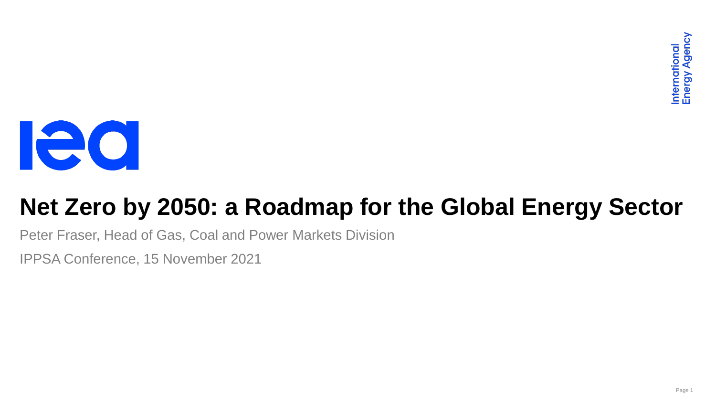

# **Net Zero by 2050: a Roadmap for the Global Energy Sector**

Peter Fraser, Head of Gas, Coal and Power Markets Division

IPPSA Conference, 15 November 2021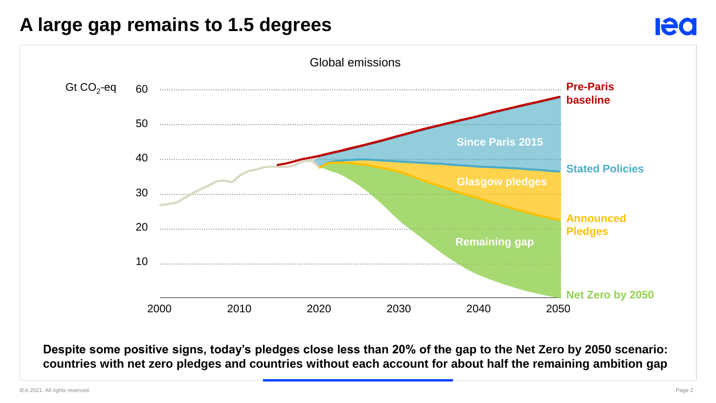### **A large gap remains to 1.5 degrees**



**Despite some positive signs, today's pledges close less than 20% of the gap to the Net Zero by 2050 scenario: countries with net zero pledges and countries without each account for about half the remaining ambition gap**

**Ieo**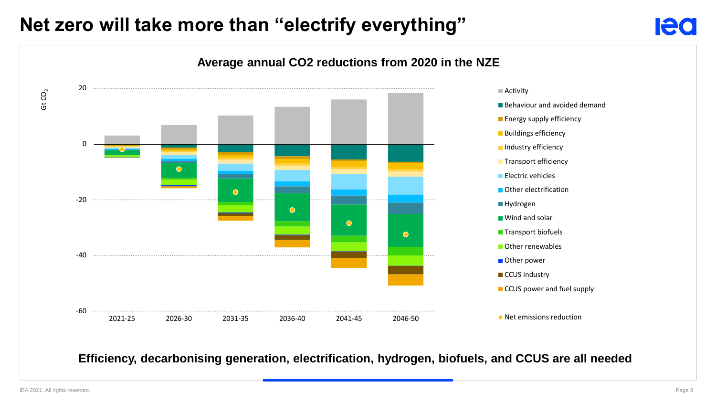# **Net zero will take more than "electrify everything"**



**Efficiency, decarbonising generation, electrification, hydrogen, biofuels, and CCUS are all needed**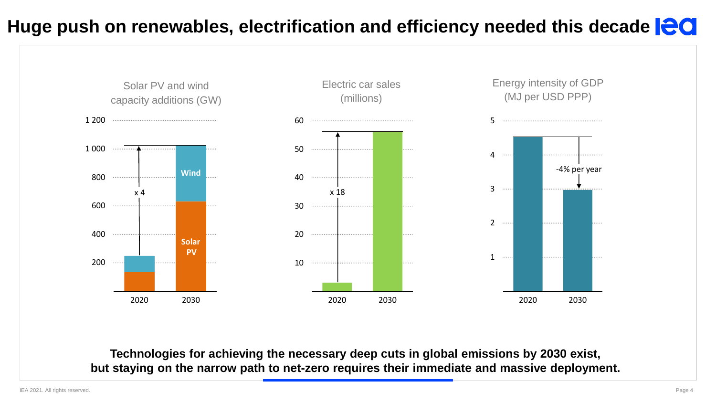### **Huge push on renewables, electrification and efficiency needed this decade**



**Technologies for achieving the necessary deep cuts in global emissions by 2030 exist, but staying on the narrow path to net-zero requires their immediate and massive deployment.**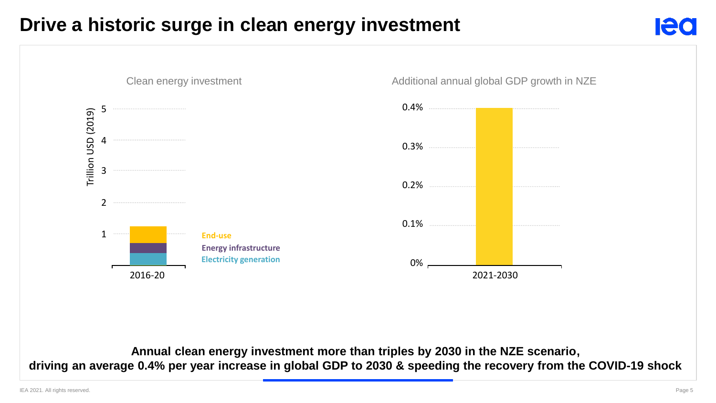# **Drive a historic surge in clean energy investment**



**Annual clean energy investment more than triples by 2030 in the NZE scenario, , driving an average 0.4% per year increase in global GDP to 2030 & speeding the recovery from the COVID-19 shock**

IEA 2021. All rights reserved. Page 5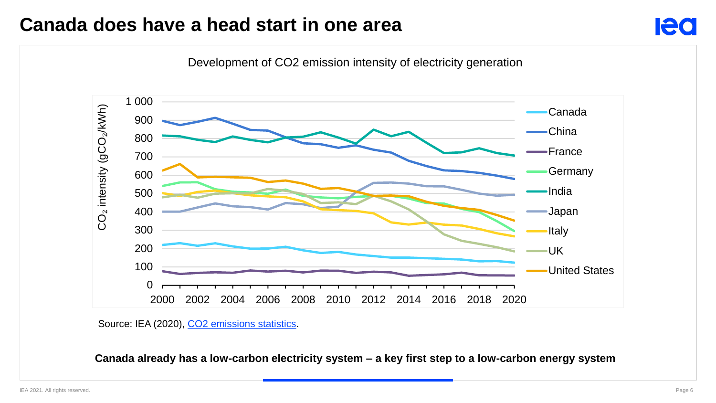### **Canada does have a head start in one area**



Source: IEA (2020), CO<sub>2</sub> emissions statistics.

**Canada already has a low-carbon electricity system – a key first step to a low-carbon energy system**